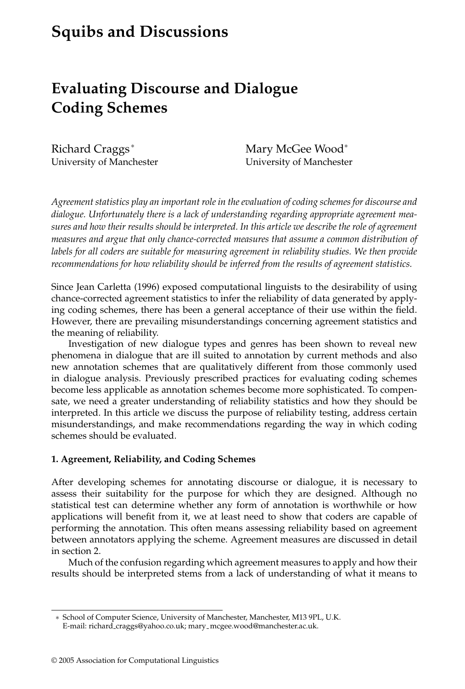# **Squibs and Discussions**

# **Evaluating Discourse and Dialogue Coding Schemes**

Richard Craggs<sup>∗</sup> University of Manchester Mary McGee Wood<sup>∗</sup> University of Manchester

*Agreement statistics play an important role in the evaluation of coding schemes for discourse and dialogue. Unfortunately there is a lack of understanding regarding appropriate agreement measures and how their results should be interpreted. In this article we describe the role of agreement measures and argue that only chance-corrected measures that assume a common distribution of labels for all coders are suitable for measuring agreement in reliability studies. We then provide recommendations for how reliability should be inferred from the results of agreement statistics.*

Since Jean Carletta (1996) exposed computational linguists to the desirability of using chance-corrected agreement statistics to infer the reliability of data generated by applying coding schemes, there has been a general acceptance of their use within the field. However, there are prevailing misunderstandings concerning agreement statistics and the meaning of reliability.

Investigation of new dialogue types and genres has been shown to reveal new phenomena in dialogue that are ill suited to annotation by current methods and also new annotation schemes that are qualitatively different from those commonly used in dialogue analysis. Previously prescribed practices for evaluating coding schemes become less applicable as annotation schemes become more sophisticated. To compensate, we need a greater understanding of reliability statistics and how they should be interpreted. In this article we discuss the purpose of reliability testing, address certain misunderstandings, and make recommendations regarding the way in which coding schemes should be evaluated.

#### **1. Agreement, Reliability, and Coding Schemes**

After developing schemes for annotating discourse or dialogue, it is necessary to assess their suitability for the purpose for which they are designed. Although no statistical test can determine whether any form of annotation is worthwhile or how applications will benefit from it, we at least need to show that coders are capable of performing the annotation. This often means assessing reliability based on agreement between annotators applying the scheme. Agreement measures are discussed in detail in section 2.

Much of the confusion regarding which agreement measures to apply and how their results should be interpreted stems from a lack of understanding of what it means to

<sup>∗</sup> School of Computer Science, University of Manchester, Manchester, M13 9PL, U.K.

E-mail: richard\_craggs@yahoo.co.uk; mary\_mcgee.wood@manchester.ac.uk.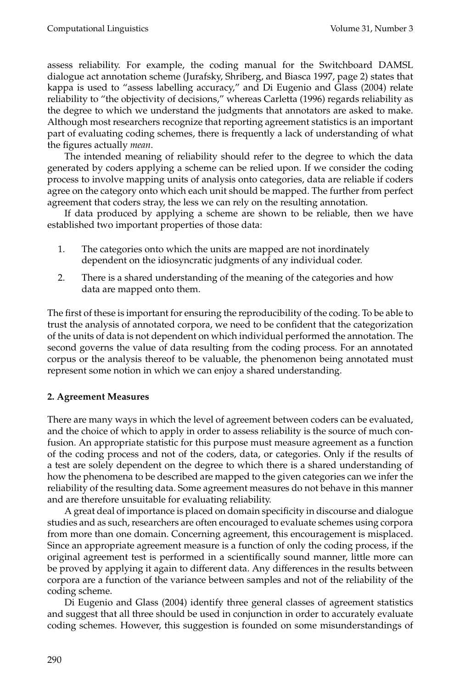assess reliability. For example, the coding manual for the Switchboard DAMSL dialogue act annotation scheme (Jurafsky, Shriberg, and Biasca 1997, page 2) states that kappa is used to "assess labelling accuracy," and Di Eugenio and Glass (2004) relate reliability to "the objectivity of decisions," whereas Carletta (1996) regards reliability as the degree to which we understand the judgments that annotators are asked to make. Although most researchers recognize that reporting agreement statistics is an important part of evaluating coding schemes, there is frequently a lack of understanding of what the figures actually *mean*.

The intended meaning of reliability should refer to the degree to which the data generated by coders applying a scheme can be relied upon. If we consider the coding process to involve mapping units of analysis onto categories, data are reliable if coders agree on the category onto which each unit should be mapped. The further from perfect agreement that coders stray, the less we can rely on the resulting annotation.

If data produced by applying a scheme are shown to be reliable, then we have established two important properties of those data:

- 1. The categories onto which the units are mapped are not inordinately dependent on the idiosyncratic judgments of any individual coder.
- 2. There is a shared understanding of the meaning of the categories and how data are mapped onto them.

The first of these is important for ensuring the reproducibility of the coding. To be able to trust the analysis of annotated corpora, we need to be confident that the categorization of the units of data is not dependent on which individual performed the annotation. The second governs the value of data resulting from the coding process. For an annotated corpus or the analysis thereof to be valuable, the phenomenon being annotated must represent some notion in which we can enjoy a shared understanding.

# **2. Agreement Measures**

There are many ways in which the level of agreement between coders can be evaluated, and the choice of which to apply in order to assess reliability is the source of much confusion. An appropriate statistic for this purpose must measure agreement as a function of the coding process and not of the coders, data, or categories. Only if the results of a test are solely dependent on the degree to which there is a shared understanding of how the phenomena to be described are mapped to the given categories can we infer the reliability of the resulting data. Some agreement measures do not behave in this manner and are therefore unsuitable for evaluating reliability.

A great deal of importance is placed on domain specificity in discourse and dialogue studies and as such, researchers are often encouraged to evaluate schemes using corpora from more than one domain. Concerning agreement, this encouragement is misplaced. Since an appropriate agreement measure is a function of only the coding process, if the original agreement test is performed in a scientifically sound manner, little more can be proved by applying it again to different data. Any differences in the results between corpora are a function of the variance between samples and not of the reliability of the coding scheme.

Di Eugenio and Glass (2004) identify three general classes of agreement statistics and suggest that all three should be used in conjunction in order to accurately evaluate coding schemes. However, this suggestion is founded on some misunderstandings of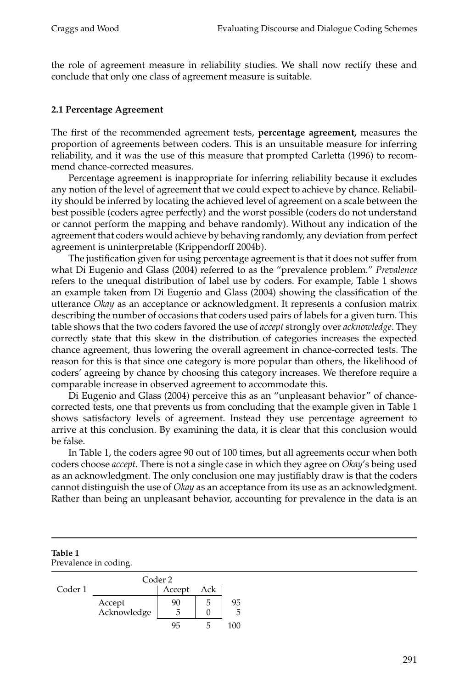the role of agreement measure in reliability studies. We shall now rectify these and conclude that only one class of agreement measure is suitable.

#### **2.1 Percentage Agreement**

The first of the recommended agreement tests, **percentage agreement,** measures the proportion of agreements between coders. This is an unsuitable measure for inferring reliability, and it was the use of this measure that prompted Carletta (1996) to recommend chance-corrected measures.

Percentage agreement is inappropriate for inferring reliability because it excludes any notion of the level of agreement that we could expect to achieve by chance. Reliability should be inferred by locating the achieved level of agreement on a scale between the best possible (coders agree perfectly) and the worst possible (coders do not understand or cannot perform the mapping and behave randomly). Without any indication of the agreement that coders would achieve by behaving randomly, any deviation from perfect agreement is uninterpretable (Krippendorff 2004b).

The justification given for using percentage agreement is that it does not suffer from what Di Eugenio and Glass (2004) referred to as the "prevalence problem." *Prevalence* refers to the unequal distribution of label use by coders. For example, Table 1 shows an example taken from Di Eugenio and Glass (2004) showing the classification of the utterance *Okay* as an acceptance or acknowledgment. It represents a confusion matrix describing the number of occasions that coders used pairs of labels for a given turn. This table shows that the two coders favored the use of *accept* strongly over *acknowledge*. They correctly state that this skew in the distribution of categories increases the expected chance agreement, thus lowering the overall agreement in chance-corrected tests. The reason for this is that since one category is more popular than others, the likelihood of coders' agreeing by chance by choosing this category increases. We therefore require a comparable increase in observed agreement to accommodate this.

Di Eugenio and Glass (2004) perceive this as an "unpleasant behavior" of chancecorrected tests, one that prevents us from concluding that the example given in Table 1 shows satisfactory levels of agreement. Instead they use percentage agreement to arrive at this conclusion. By examining the data, it is clear that this conclusion would be false.

In Table 1, the coders agree 90 out of 100 times, but all agreements occur when both coders choose *accept*. There is not a single case in which they agree on *Okay*'s being used as an acknowledgment. The only conclusion one may justifiably draw is that the coders cannot distinguish the use of *Okay* as an acceptance from its use as an acknowledgment. Rather than being an unpleasant behavior, accounting for prevalence in the data is an

#### **Table 1** Prevalence in coding.

| Coder 2 |             |        |     |           |  |
|---------|-------------|--------|-----|-----------|--|
| Coder 1 |             | Accept | Ack |           |  |
|         | Accept      |        |     | 95        |  |
|         | Acknowledge |        |     |           |  |
|         |             |        |     | 1 ( ) ( 1 |  |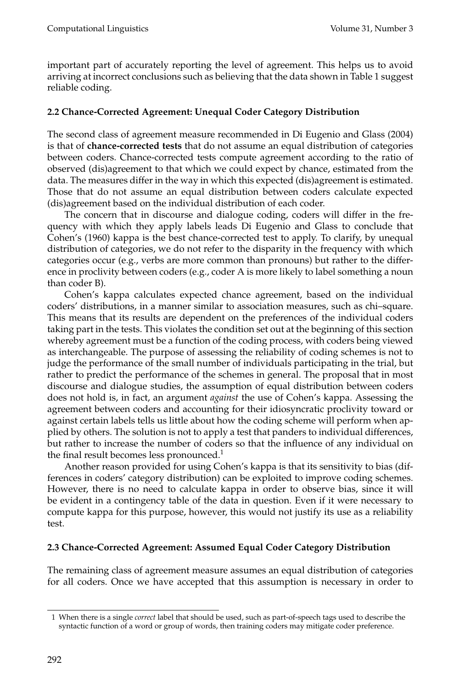important part of accurately reporting the level of agreement. This helps us to avoid arriving at incorrect conclusions such as believing that the data shown in Table 1 suggest reliable coding.

### **2.2 Chance-Corrected Agreement: Unequal Coder Category Distribution**

The second class of agreement measure recommended in Di Eugenio and Glass (2004) is that of **chance-corrected tests** that do not assume an equal distribution of categories between coders. Chance-corrected tests compute agreement according to the ratio of observed (dis)agreement to that which we could expect by chance, estimated from the data. The measures differ in the way in which this expected (dis)agreement is estimated. Those that do not assume an equal distribution between coders calculate expected (dis)agreement based on the individual distribution of each coder.

The concern that in discourse and dialogue coding, coders will differ in the frequency with which they apply labels leads Di Eugenio and Glass to conclude that Cohen's (1960) kappa is the best chance-corrected test to apply. To clarify, by unequal distribution of categories, we do not refer to the disparity in the frequency with which categories occur (e.g., verbs are more common than pronouns) but rather to the difference in proclivity between coders (e.g., coder A is more likely to label something a noun than coder B).

Cohen's kappa calculates expected chance agreement, based on the individual coders' distributions, in a manner similar to association measures, such as chi–square. This means that its results are dependent on the preferences of the individual coders taking part in the tests. This violates the condition set out at the beginning of this section whereby agreement must be a function of the coding process, with coders being viewed as interchangeable. The purpose of assessing the reliability of coding schemes is not to judge the performance of the small number of individuals participating in the trial, but rather to predict the performance of the schemes in general. The proposal that in most discourse and dialogue studies, the assumption of equal distribution between coders does not hold is, in fact, an argument *against* the use of Cohen's kappa. Assessing the agreement between coders and accounting for their idiosyncratic proclivity toward or against certain labels tells us little about how the coding scheme will perform when applied by others. The solution is not to apply a test that panders to individual differences, but rather to increase the number of coders so that the influence of any individual on the final result becomes less pronounced.<sup>1</sup>

Another reason provided for using Cohen's kappa is that its sensitivity to bias (differences in coders' category distribution) can be exploited to improve coding schemes. However, there is no need to calculate kappa in order to observe bias, since it will be evident in a contingency table of the data in question. Even if it were necessary to compute kappa for this purpose, however, this would not justify its use as a reliability test.

#### **2.3 Chance-Corrected Agreement: Assumed Equal Coder Category Distribution**

The remaining class of agreement measure assumes an equal distribution of categories for all coders. Once we have accepted that this assumption is necessary in order to

<sup>1</sup> When there is a single *correct* label that should be used, such as part-of-speech tags used to describe the syntactic function of a word or group of words, then training coders may mitigate coder preference.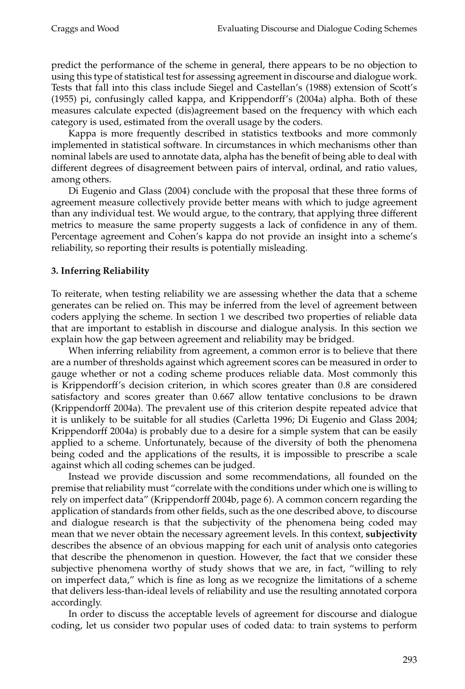predict the performance of the scheme in general, there appears to be no objection to using this type of statistical test for assessing agreement in discourse and dialogue work. Tests that fall into this class include Siegel and Castellan's (1988) extension of Scott's (1955) pi, confusingly called kappa, and Krippendorff's (2004a) alpha. Both of these measures calculate expected (dis)agreement based on the frequency with which each category is used, estimated from the overall usage by the coders.

Kappa is more frequently described in statistics textbooks and more commonly implemented in statistical software. In circumstances in which mechanisms other than nominal labels are used to annotate data, alpha has the benefit of being able to deal with different degrees of disagreement between pairs of interval, ordinal, and ratio values, among others.

Di Eugenio and Glass (2004) conclude with the proposal that these three forms of agreement measure collectively provide better means with which to judge agreement than any individual test. We would argue, to the contrary, that applying three different metrics to measure the same property suggests a lack of confidence in any of them. Percentage agreement and Cohen's kappa do not provide an insight into a scheme's reliability, so reporting their results is potentially misleading.

# **3. Inferring Reliability**

To reiterate, when testing reliability we are assessing whether the data that a scheme generates can be relied on. This may be inferred from the level of agreement between coders applying the scheme. In section 1 we described two properties of reliable data that are important to establish in discourse and dialogue analysis. In this section we explain how the gap between agreement and reliability may be bridged.

When inferring reliability from agreement, a common error is to believe that there are a number of thresholds against which agreement scores can be measured in order to gauge whether or not a coding scheme produces reliable data. Most commonly this is Krippendorff's decision criterion, in which scores greater than 0.8 are considered satisfactory and scores greater than 0.667 allow tentative conclusions to be drawn (Krippendorff 2004a). The prevalent use of this criterion despite repeated advice that it is unlikely to be suitable for all studies (Carletta 1996; Di Eugenio and Glass 2004; Krippendorff 2004a) is probably due to a desire for a simple system that can be easily applied to a scheme. Unfortunately, because of the diversity of both the phenomena being coded and the applications of the results, it is impossible to prescribe a scale against which all coding schemes can be judged.

Instead we provide discussion and some recommendations, all founded on the premise that reliability must "correlate with the conditions under which one is willing to rely on imperfect data" (Krippendorff 2004b, page 6). A common concern regarding the application of standards from other fields, such as the one described above, to discourse and dialogue research is that the subjectivity of the phenomena being coded may mean that we never obtain the necessary agreement levels. In this context, **subjectivity** describes the absence of an obvious mapping for each unit of analysis onto categories that describe the phenomenon in question. However, the fact that we consider these subjective phenomena worthy of study shows that we are, in fact, "willing to rely on imperfect data," which is fine as long as we recognize the limitations of a scheme that delivers less-than-ideal levels of reliability and use the resulting annotated corpora accordingly.

In order to discuss the acceptable levels of agreement for discourse and dialogue coding, let us consider two popular uses of coded data: to train systems to perform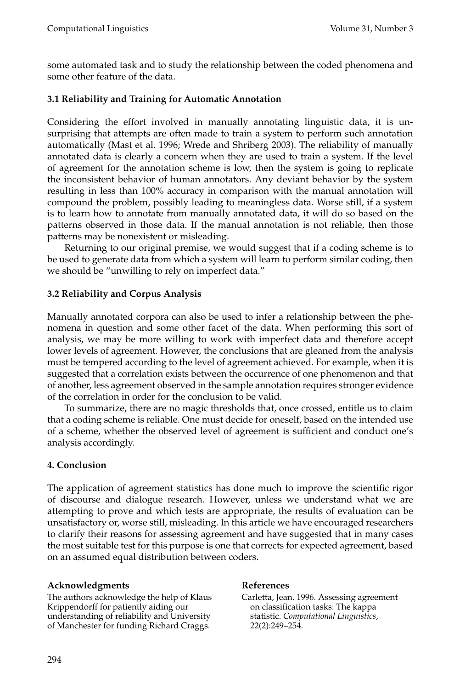some automated task and to study the relationship between the coded phenomena and some other feature of the data.

## **3.1 Reliability and Training for Automatic Annotation**

Considering the effort involved in manually annotating linguistic data, it is unsurprising that attempts are often made to train a system to perform such annotation automatically (Mast et al. 1996; Wrede and Shriberg 2003). The reliability of manually annotated data is clearly a concern when they are used to train a system. If the level of agreement for the annotation scheme is low, then the system is going to replicate the inconsistent behavior of human annotators. Any deviant behavior by the system resulting in less than 100% accuracy in comparison with the manual annotation will compound the problem, possibly leading to meaningless data. Worse still, if a system is to learn how to annotate from manually annotated data, it will do so based on the patterns observed in those data. If the manual annotation is not reliable, then those patterns may be nonexistent or misleading.

Returning to our original premise, we would suggest that if a coding scheme is to be used to generate data from which a system will learn to perform similar coding, then we should be "unwilling to rely on imperfect data."

### **3.2 Reliability and Corpus Analysis**

Manually annotated corpora can also be used to infer a relationship between the phenomena in question and some other facet of the data. When performing this sort of analysis, we may be more willing to work with imperfect data and therefore accept lower levels of agreement. However, the conclusions that are gleaned from the analysis must be tempered according to the level of agreement achieved. For example, when it is suggested that a correlation exists between the occurrence of one phenomenon and that of another, less agreement observed in the sample annotation requires stronger evidence of the correlation in order for the conclusion to be valid.

To summarize, there are no magic thresholds that, once crossed, entitle us to claim that a coding scheme is reliable. One must decide for oneself, based on the intended use of a scheme, whether the observed level of agreement is sufficient and conduct one's analysis accordingly.

# **4. Conclusion**

The application of agreement statistics has done much to improve the scientific rigor of discourse and dialogue research. However, unless we understand what we are attempting to prove and which tests are appropriate, the results of evaluation can be unsatisfactory or, worse still, misleading. In this article we have encouraged researchers to clarify their reasons for assessing agreement and have suggested that in many cases the most suitable test for this purpose is one that corrects for expected agreement, based on an assumed equal distribution between coders.

#### **Acknowledgments**

The authors acknowledge the help of Klaus Krippendorff for patiently aiding our understanding of reliability and University of Manchester for funding Richard Craggs.

#### **References**

Carletta, Jean. 1996. Assessing agreement on classification tasks: The kappa statistic. *Computational Linguistics*, 22(2):249–254.